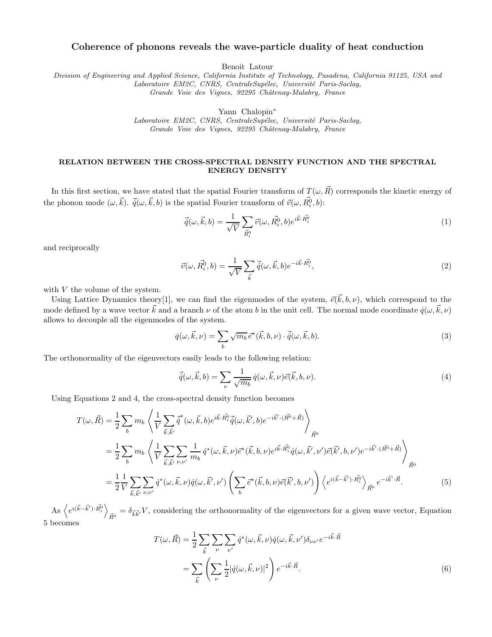## Coherence of phonons reveals the wave-particle duality of heat conduction

Benoit Latour

Division of Engineering and Applied Science, California Institute of Technology, Pasadena, California 91125, USA and Laboratoire EM2C, CNRS, CentraleSupélec, Université Paris-Saclay, Grande Voie des Vignes, 92295 Châtenay-Malabry, France

Yann Chalopin<sup>∗</sup>

Laboratoire EM2C, CNRS, CentraleSupélec, Université Paris-Saclay, Grande Voie des Vignes, 92295 Châtenay-Malabry, France

## RELATION BETWEEN THE CROSS-SPECTRAL DENSITY FUNCTION AND THE SPECTRAL ENERGY DENSITY

In this first section, we have stated that the spatial Fourier transform of  $T(\omega, \vec{R})$  corresponds the kinetic energy of the phonon mode  $(\omega, \vec{k})$ .  $\vec{q}(\omega, \vec{k}, b)$  is the spatial Fourier transform of  $\vec{v}(\omega, \vec{R}^0_i, b)$ :

$$
\vec{\dot{q}}(\omega, \vec{k}, b) = \frac{1}{\sqrt{V}} \sum_{\vec{R}_i^0} \vec{v}(\omega, \vec{R}_i^0, b) e^{i\vec{k} \cdot \vec{R}_i^0}
$$
(1)

and reciprocally

$$
\vec{v}(\omega, \vec{R_i^0}, b) = \frac{1}{\sqrt{V}} \sum_{\vec{k}} \vec{q}(\omega, \vec{k}, b) e^{-i\vec{k} \cdot \vec{R_i^0}}, \tag{2}
$$

with V the volume of the system.

Using Lattice Dynamics theory [1], we can find the eigenmodes of the system,  $\vec{e}(\vec{k},b,\nu)$ , which correspond to the mode defined by a wave vector  $\vec{k}$  and a branch  $\nu$  of the atom b in the unit cell. The normal mode coordinate  $\dot{q}(\omega,\vec{k},\nu)$ allows to decouple all the eigenmodes of the system.

$$
\dot{q}(\omega, \vec{k}, \nu) = \sum_{b} \sqrt{m_b} \,\vec{e}^*(\vec{k}, b, \nu) \cdot \vec{q}(\omega, \vec{k}, b). \tag{3}
$$

The orthonormality of the eigenvectors easily leads to the following relation:

$$
\vec{\dot{q}}(\omega, \vec{k}, b) = \sum_{\nu} \frac{1}{\sqrt{m_b}} \dot{q}(\omega, \vec{k}, \nu) \vec{e}(\vec{k}, b, \nu).
$$
\n(4)

Using Equations 2 and 4, the cross-spectral density function becomes

$$
T(\omega, \vec{R}) = \frac{1}{2} \sum_{b} m_{b} \left\langle \frac{1}{V} \sum_{\vec{k}, \vec{k'}} \vec{q}^{*}(\omega, \vec{k}, b) e^{i\vec{k} \cdot \vec{R}_{i}^{0}} \vec{q}(\omega, \vec{k}', b) e^{-i\vec{k}' \cdot (\vec{R}^{0} + \vec{R})} \right\rangle_{\vec{R}^{0}}
$$
  
\n
$$
= \frac{1}{2} \sum_{b} m_{b} \left\langle \frac{1}{V} \sum_{\vec{k}, \vec{k'}} \sum_{\nu, \nu'} \frac{1}{m_{b}} \dot{q}^{*}(\omega, \vec{k}, \nu) \vec{e}^{*}(\vec{k}, b, \nu) e^{i\vec{k} \cdot \vec{R}_{i}^{0}} \dot{q}(\omega, \vec{k}', \nu') \vec{e}(\vec{k}', b, \nu') e^{-i\vec{k}' \cdot (\vec{R}^{0} + \vec{R})} \right\rangle_{\vec{R}^{0}}
$$
  
\n
$$
= \frac{1}{2} \frac{1}{V} \sum_{\vec{k}, \vec{k'}} \sum_{\nu, \nu'} \dot{q}^{*}(\omega, \vec{k}, \nu) \dot{q}(\omega, \vec{k}', \nu') \left( \sum_{b} \vec{e}^{*}(\vec{k}, b, \nu) \vec{e}(\vec{k}', b, \nu') \right) \left\langle e^{i(\vec{k} - \vec{k}') \cdot \vec{R}_{i}^{0}} \right\rangle_{\vec{R}^{0}} e^{-i\vec{k}' \cdot \vec{R}}.
$$
 (5)

 $\text{As}\ \left\langle e^{i(\vec{k}-\vec{k}')\cdot\vec{R_{i}^{0}}}\right\rangle$  $_{\vec{R}^{0}} = \delta_{\vec{k}\vec{k}'}V$ , considering the orthonormality of the eigenvectors for a given wave vector, Equation 5 becomes

$$
T(\omega, \vec{R}) = \frac{1}{2} \sum_{\vec{k}} \sum_{\nu} \sum_{\nu'} \dot{q}^* (\omega, \vec{k}, \nu) \dot{q}(\omega, \vec{k}, \nu') \delta_{\nu \nu'} e^{-i\vec{k} \cdot \vec{R}}
$$

$$
= \sum_{\vec{k}} \left( \sum_{\nu} \frac{1}{2} |\dot{q}(\omega, \vec{k}, \nu)|^2 \right) e^{-i\vec{k} \cdot \vec{R}}.
$$
(6)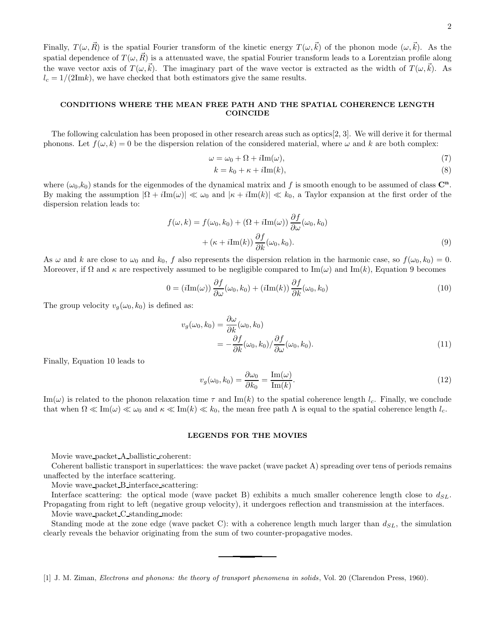Finally,  $T(\omega, \vec{R})$  is the spatial Fourier transform of the kinetic energy  $T(\omega, \vec{k})$  of the phonon mode  $(\omega, \vec{k})$ . As the spatial dependence of  $T(\omega, \vec{R})$  is a attenuated wave, the spatial Fourier transform leads to a Lorentzian profile along the wave vector axis of  $T(\omega, \vec{k})$ . The imaginary part of the wave vector is extracted as the width of  $T(\omega, \vec{k})$ . As  $l_c = 1/(2\text{Im}k)$ , we have checked that both estimators give the same results.

## CONDITIONS WHERE THE MEAN FREE PATH AND THE SPATIAL COHERENCE LENGTH COINCIDE

The following calculation has been proposed in other research areas such as optics[2, 3]. We will derive it for thermal phonons. Let  $f(\omega, k) = 0$  be the dispersion relation of the considered material, where  $\omega$  and k are both complex:

$$
\omega = \omega_0 + \Omega + i \text{Im}(\omega),\tag{7}
$$

$$
k = k_0 + \kappa + i \text{Im}(k),\tag{8}
$$

where  $(\omega_0, k_0)$  stands for the eigenmodes of the dynamical matrix and f is smooth enough to be assumed of class  $\mathbb{C}^n$ . By making the assumption  $|\Omega + i\text{Im}(\omega)| \ll \omega_0$  and  $|\kappa + i\text{Im}(k)| \ll k_0$ , a Taylor expansion at the first order of the dispersion relation leads to:

$$
f(\omega, k) = f(\omega_0, k_0) + (\Omega + i \text{Im}(\omega)) \frac{\partial f}{\partial \omega}(\omega_0, k_0)
$$

$$
+ (\kappa + i \text{Im}(k)) \frac{\partial f}{\partial k}(\omega_0, k_0).
$$
(9)

As  $\omega$  and k are close to  $\omega_0$  and  $k_0$ , f also represents the dispersion relation in the harmonic case, so  $f(\omega_0, k_0) = 0$ . Moreover, if  $\Omega$  and  $\kappa$  are respectively assumed to be negligible compared to Im( $\omega$ ) and Im(k), Equation 9 becomes

$$
0 = (i\mathrm{Im}(\omega))\frac{\partial f}{\partial \omega}(\omega_0, k_0) + (i\mathrm{Im}(k))\frac{\partial f}{\partial k}(\omega_0, k_0)
$$
\n(10)

The group velocity  $v_q(\omega_0, k_0)$  is defined as:

$$
v_g(\omega_0, k_0) = \frac{\partial \omega}{\partial k}(\omega_0, k_0)
$$
  
= 
$$
-\frac{\partial f}{\partial k}(\omega_0, k_0) / \frac{\partial f}{\partial \omega}(\omega_0, k_0).
$$
 (11)

Finally, Equation 10 leads to

$$
v_g(\omega_0, k_0) = \frac{\partial \omega_0}{\partial k_0} = \frac{\text{Im}(\omega)}{\text{Im}(k)}.
$$
\n(12)

 $\text{Im}(\omega)$  is related to the phonon relaxation time  $\tau$  and  $\text{Im}(k)$  to the spatial coherence length  $l_c$ . Finally, we conclude that when  $\Omega \ll \text{Im}(\omega) \ll \omega_0$  and  $\kappa \ll \text{Im}(k) \ll k_0$ , the mean free path  $\Lambda$  is equal to the spatial coherence length  $l_c$ .

## LEGENDS FOR THE MOVIES

Movie wave packet A ballistic coherent:

Coherent ballistic transport in superlattices: the wave packet (wave packet A) spreading over tens of periods remains unaffected by the interface scattering.

Movie wave packet B interface scattering:

Interface scattering: the optical mode (wave packet B) exhibits a much smaller coherence length close to  $d_{SL}$ . Propagating from right to left (negative group velocity), it undergoes reflection and transmission at the interfaces. Movie wave packet C standing mode:

Standing mode at the zone edge (wave packet C): with a coherence length much larger than  $d_{SL}$ , the simulation clearly reveals the behavior originating from the sum of two counter-propagative modes.

[1] J. M. Ziman, Electrons and phonons: the theory of transport phenomena in solids, Vol. 20 (Clarendon Press, 1960).